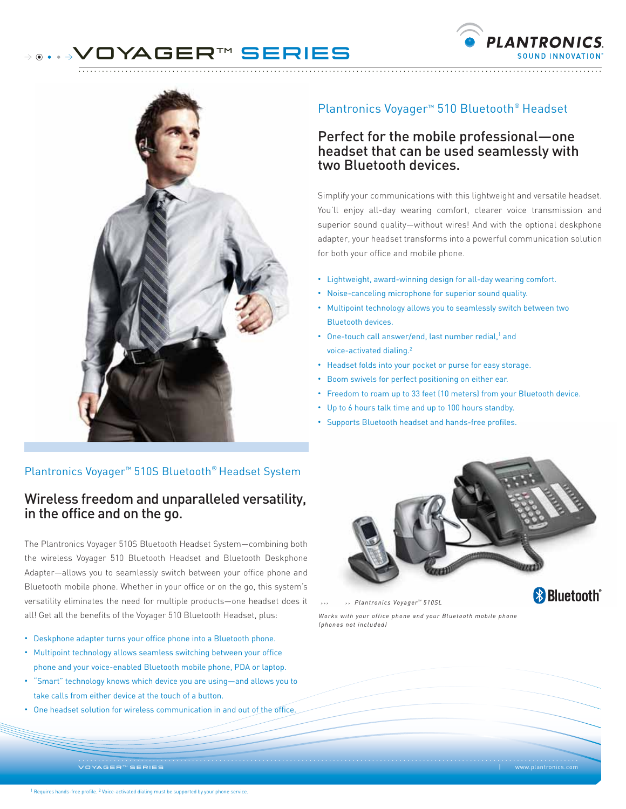# VOYAGER™ SERIES



### Plantronics Voyager™ 510S Bluetooth® Headset System

## Wireless freedom and unparalleled versatility, in the office and on the go.

The Plantronics Voyager 510S Bluetooth Headset System—combining both the wireless Voyager 510 Bluetooth Headset and Bluetooth Deskphone Adapter—allows you to seamlessly switch between your office phone and Bluetooth mobile phone. Whether in your office or on the go, this system's versatility eliminates the need for multiple products—one headset does it all! Get all the benefits of the Voyager 510 Bluetooth Headset, plus:

- Deskphone adapter turns your office phone into a Bluetooth phone.
- Multipoint technology allows seamless switching between your office phone and your voice-enabled Bluetooth mobile phone, PDA or laptop.
- "Smart" technology knows which device you are using—and allows you to take calls from either device at the touch of a button.
- One headset solution for wireless communication in and out of the office.

# Plantronics Voyager™ 510 Bluetooth® Headset

**PLANTRONICS** 

### Perfect for the mobile professional—one headset that can be used seamlessly with two Bluetooth devices.

Simplify your communications with this lightweight and versatile headset. You'll enjoy all-day wearing comfort, clearer voice transmission and superior sound quality—without wires! And with the optional deskphone adapter, your headset transforms into a powerful communication solution for both your office and mobile phone.

- Lightweight, award-winning design for all-day wearing comfort.
- Noise-canceling microphone for superior sound quality.
- Multipoint technology allows you to seamlessly switch between two Bluetooth devices.
- One-touch call answer/end, last number redial,<sup>1</sup> and voice-activated dialing.<sup>2</sup>
- Headset folds into your pocket or purse for easy storage.
- Boom swivels for perfect positioning on either ear.
- Freedom to roam up to 33 feet (10 meters) from your Bluetooth device.
- Up to 6 hours talk time and up to 100 hours standby.
- Supports Bluetooth headset and hands-free profiles.



*>>> >> Plantronics Voyager TM 510SL*

**& Bluetooth**<sup>®</sup>

*Works with your office phone and your Bluetooth mobile phone (phones not included)*

VO YAGER<sup>te</sup> SERIES ............................................................................................................................... .